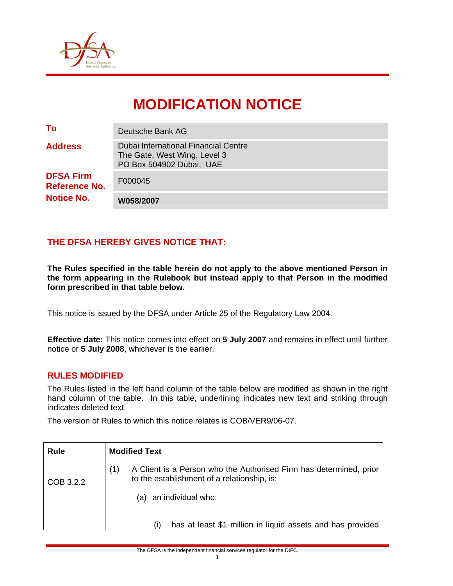

# **MODIFICATION NOTICE**

| To                                       | Deutsche Bank AG                                                                                 |
|------------------------------------------|--------------------------------------------------------------------------------------------------|
| <b>Address</b>                           | Dubai International Financial Centre<br>The Gate, West Wing, Level 3<br>PO Box 504902 Dubai, UAE |
| <b>DFSA Firm</b><br><b>Reference No.</b> | F000045                                                                                          |
| <b>Notice No.</b>                        | W058/2007                                                                                        |

## **THE DFSA HEREBY GIVES NOTICE THAT:**

**The Rules specified in the table herein do not apply to the above mentioned Person in the form appearing in the Rulebook but instead apply to that Person in the modified form prescribed in that table below.** 

This notice is issued by the DFSA under Article 25 of the Regulatory Law 2004.

**Effective date:** This notice comes into effect on **5 July 2007** and remains in effect until further notice or **5 July 2008**, whichever is the earlier.

#### **RULES MODIFIED**

The Rules listed in the left hand column of the table below are modified as shown in the right hand column of the table. In this table, underlining indicates new text and striking through indicates deleted text.

The version of Rules to which this notice relates is COB/VER9/06-07.

| <b>Rule</b> | <b>Modified Text</b>                                                                                                     |
|-------------|--------------------------------------------------------------------------------------------------------------------------|
| COB 3.2.2   | A Client is a Person who the Authorised Firm has determined, prior<br>(1)<br>to the establishment of a relationship, is: |
|             | (a) an individual who:                                                                                                   |
|             | has at least \$1 million in liquid assets and has provided                                                               |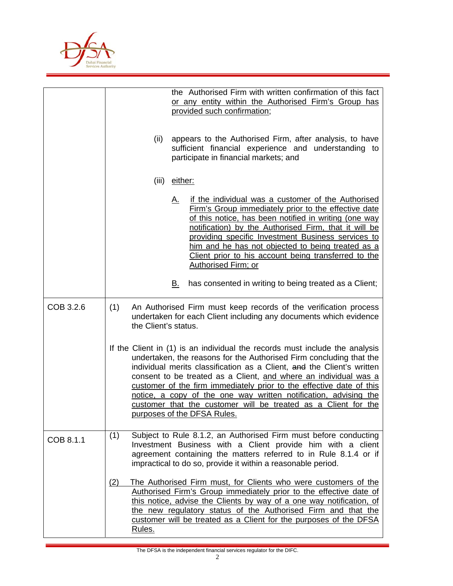

|           | the Authorised Firm with written confirmation of this fact<br>or any entity within the Authorised Firm's Group has<br>provided such confirmation;                                                                                                                                                                                                                                                                                                                                                                                                    |
|-----------|------------------------------------------------------------------------------------------------------------------------------------------------------------------------------------------------------------------------------------------------------------------------------------------------------------------------------------------------------------------------------------------------------------------------------------------------------------------------------------------------------------------------------------------------------|
|           | appears to the Authorised Firm, after analysis, to have<br>(ii)<br>sufficient financial experience and understanding to<br>participate in financial markets; and                                                                                                                                                                                                                                                                                                                                                                                     |
|           | (iii)<br>either:                                                                                                                                                                                                                                                                                                                                                                                                                                                                                                                                     |
|           | if the individual was a customer of the Authorised<br>Α.<br>Firm's Group immediately prior to the effective date<br>of this notice, has been notified in writing (one way<br>notification) by the Authorised Firm, that it will be<br>providing specific Investment Business services to<br>him and he has not objected to being treated as a<br>Client prior to his account being transferred to the<br><b>Authorised Firm; or</b>                                                                                                                  |
|           | has consented in writing to being treated as a Client;<br><u>B.</u>                                                                                                                                                                                                                                                                                                                                                                                                                                                                                  |
| COB 3.2.6 | An Authorised Firm must keep records of the verification process<br>(1)<br>undertaken for each Client including any documents which evidence<br>the Client's status.                                                                                                                                                                                                                                                                                                                                                                                 |
|           | If the Client in (1) is an individual the records must include the analysis<br>undertaken, the reasons for the Authorised Firm concluding that the<br>individual merits classification as a Client, and the Client's written<br>consent to be treated as a Client, and where an individual was a<br>customer of the firm immediately prior to the effective date of this<br>notice, a copy of the one way written notification, advising the<br><u>customer that the customer will be treated as a Client for the</u><br>purposes of the DFSA Rules. |
| COB 8.1.1 | Subject to Rule 8.1.2, an Authorised Firm must before conducting<br>(1)<br>Investment Business with a Client provide him with a client<br>agreement containing the matters referred to in Rule 8.1.4 or if<br>impractical to do so, provide it within a reasonable period.                                                                                                                                                                                                                                                                           |
|           | (2)<br>The Authorised Firm must, for Clients who were customers of the<br>Authorised Firm's Group immediately prior to the effective date of<br>this notice, advise the Clients by way of a one way notification, of<br>the new regulatory status of the Authorised Firm and that the<br>customer will be treated as a Client for the purposes of the DFSA<br>Rules.                                                                                                                                                                                 |